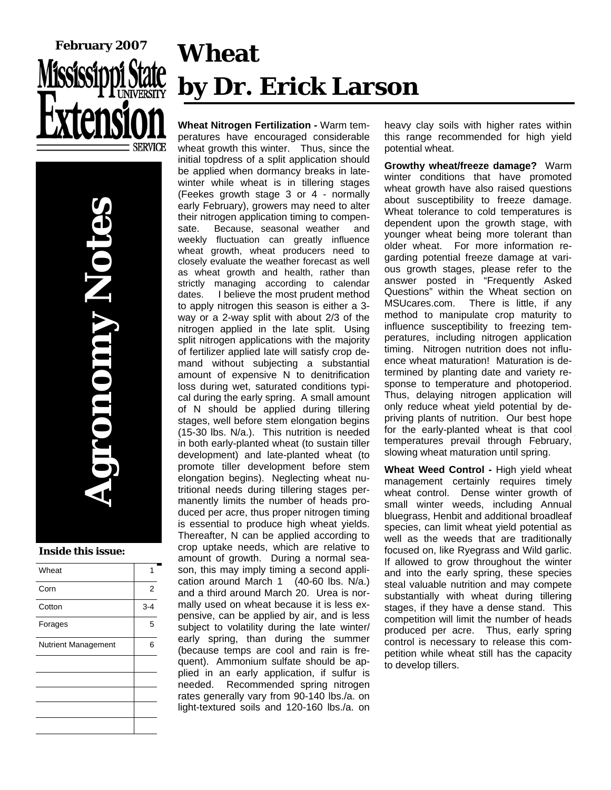

**Agronomy Notes Ononny N** 

#### **Inside this issue:**

| Wheat                      |         |
|----------------------------|---------|
| Corn                       | 2       |
| Cotton                     | $3 - 4$ |
| Forages                    | 5       |
| <b>Nutrient Management</b> | 6       |
|                            |         |
|                            |         |
|                            |         |
|                            |         |

# **Wheat by Dr. Erick Larson**

**Wheat Nitrogen Fertilization -** Warm temperatures have encouraged considerable wheat growth this winter. Thus, since the initial topdress of a split application should be applied when dormancy breaks in latewinter while wheat is in tillering stages (Feekes growth stage 3 or 4 - normally early February), growers may need to alter their nitrogen application timing to compensate. Because, seasonal weather and weekly fluctuation can greatly influence wheat growth, wheat producers need to closely evaluate the weather forecast as well as wheat growth and health, rather than strictly managing according to calendar dates. I believe the most prudent method to apply nitrogen this season is either a 3 way or a 2-way split with about 2/3 of the nitrogen applied in the late split. Using split nitrogen applications with the majority of fertilizer applied late will satisfy crop demand without subjecting a substantial amount of expensive N to denitrification loss during wet, saturated conditions typical during the early spring. A small amount of N should be applied during tillering stages, well before stem elongation begins (15-30 lbs. N/a.). This nutrition is needed in both early-planted wheat (to sustain tiller development) and late-planted wheat (to promote tiller development before stem elongation begins). Neglecting wheat nutritional needs during tillering stages permanently limits the number of heads produced per acre, thus proper nitrogen timing is essential to produce high wheat yields. Thereafter, N can be applied according to crop uptake needs, which are relative to amount of growth. During a normal season, this may imply timing a second application around March 1 (40-60 lbs. N/a.) and a third around March 20. Urea is normally used on wheat because it is less expensive, can be applied by air, and is less subject to volatility during the late winter/ early spring, than during the summer (because temps are cool and rain is frequent). Ammonium sulfate should be applied in an early application, if sulfur is needed. Recommended spring nitrogen rates generally vary from 90-140 lbs./a. on light-textured soils and 120-160 lbs./a. on

heavy clay soils with higher rates within this range recommended for high yield potential wheat.

**Growthy wheat/freeze damage?** Warm winter conditions that have promoted wheat growth have also raised questions about susceptibility to freeze damage. Wheat tolerance to cold temperatures is dependent upon the growth stage, with younger wheat being more tolerant than older wheat. For more information regarding potential freeze damage at various growth stages, please refer to the answer posted in "Frequently Asked Questions" within the Wheat section on MSUcares.com. There is little, if any method to manipulate crop maturity to influence susceptibility to freezing temperatures, including nitrogen application timing. Nitrogen nutrition does not influence wheat maturation! Maturation is determined by planting date and variety response to temperature and photoperiod. Thus, delaying nitrogen application will only reduce wheat yield potential by depriving plants of nutrition. Our best hope for the early-planted wheat is that cool temperatures prevail through February, slowing wheat maturation until spring.

**Wheat Weed Control -** High yield wheat management certainly requires timely wheat control. Dense winter growth of small winter weeds, including Annual bluegrass, Henbit and additional broadleaf species, can limit wheat yield potential as well as the weeds that are traditionally focused on, like Ryegrass and Wild garlic. If allowed to grow throughout the winter and into the early spring, these species steal valuable nutrition and may compete substantially with wheat during tillering stages, if they have a dense stand. This competition will limit the number of heads produced per acre. Thus, early spring control is necessary to release this competition while wheat still has the capacity to develop tillers.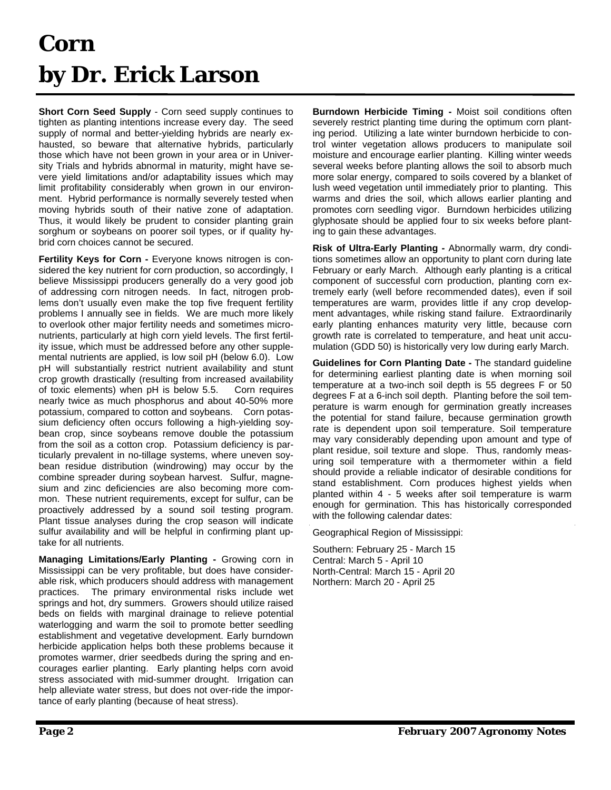### **Corn by Dr. Erick Larson**

**Short Corn Seed Supply** - Corn seed supply continues to tighten as planting intentions increase every day. The seed supply of normal and better-yielding hybrids are nearly exhausted, so beware that alternative hybrids, particularly those which have not been grown in your area or in University Trials and hybrids abnormal in maturity, might have severe yield limitations and/or adaptability issues which may limit profitability considerably when grown in our environment. Hybrid performance is normally severely tested when moving hybrids south of their native zone of adaptation. Thus, it would likely be prudent to consider planting grain sorghum or soybeans on poorer soil types, or if quality hybrid corn choices cannot be secured.

**Fertility Keys for Corn - Everyone knows nitrogen is con**sidered the key nutrient for corn production, so accordingly, I believe Mississippi producers generally do a very good job of addressing corn nitrogen needs. In fact, nitrogen problems don't usually even make the top five frequent fertility problems I annually see in fields. We are much more likely to overlook other major fertility needs and sometimes micronutrients, particularly at high corn yield levels. The first fertility issue, which must be addressed before any other supplemental nutrients are applied, is low soil pH (below 6.0). Low pH will substantially restrict nutrient availability and stunt crop growth drastically (resulting from increased availability of toxic elements) when pH is below 5.5. Corn requires nearly twice as much phosphorus and about 40-50% more potassium, compared to cotton and soybeans.Corn potassium deficiency often occurs following a high-yielding soybean crop, since soybeans remove double the potassium from the soil as a cotton crop. Potassium deficiency is particularly prevalent in no-tillage systems, where uneven soybean residue distribution (windrowing) may occur by the combine spreader during soybean harvest. Sulfur, magnesium and zinc deficiencies are also becoming more common. These nutrient requirements, except for sulfur, can be proactively addressed by a sound soil testing program. Plant tissue analyses during the crop season will indicate sulfur availability and will be helpful in confirming plant uptake for all nutrients.

**Managing Limitations/Early Planting -** Growing corn in Mississippi can be very profitable, but does have considerable risk, which producers should address with management practices. The primary environmental risks include wet springs and hot, dry summers. Growers should utilize raised beds on fields with marginal drainage to relieve potential waterlogging and warm the soil to promote better seedling establishment and vegetative development. Early burndown herbicide application helps both these problems because it promotes warmer, drier seedbeds during the spring and encourages earlier planting. Early planting helps corn avoid stress associated with mid-summer drought. Irrigation can help alleviate water stress, but does not over-ride the importance of early planting (because of heat stress).

**Burndown Herbicide Timing -** Moist soil conditions often severely restrict planting time during the optimum corn planting period. Utilizing a late winter burndown herbicide to control winter vegetation allows producers to manipulate soil moisture and encourage earlier planting. Killing winter weeds several weeks before planting allows the soil to absorb much more solar energy, compared to soils covered by a blanket of lush weed vegetation until immediately prior to planting. This warms and dries the soil, which allows earlier planting and promotes corn seedling vigor. Burndown herbicides utilizing glyphosate should be applied four to six weeks before planting to gain these advantages.

**Risk of Ultra-Early Planting -** Abnormally warm, dry conditions sometimes allow an opportunity to plant corn during late February or early March. Although early planting is a critical component of successful corn production, planting corn extremely early (well before recommended dates), even if soil temperatures are warm, provides little if any crop development advantages, while risking stand failure. Extraordinarily early planting enhances maturity very little, because corn growth rate is correlated to temperature, and heat unit accumulation (GDD 50) is historically very low during early March.

**Guidelines for Corn Planting Date -** The standard guideline for determining earliest planting date is when morning soil temperature at a two-inch soil depth is 55 degrees F or 50 degrees F at a 6-inch soil depth. Planting before the soil temperature is warm enough for germination greatly increases the potential for stand failure, because germination growth rate is dependent upon soil temperature. Soil temperature may vary considerably depending upon amount and type of plant residue, soil texture and slope. Thus, randomly measuring soil temperature with a thermometer within a field should provide a reliable indicator of desirable conditions for stand establishment. Corn produces highest yields when planted within 4 - 5 weeks after soil temperature is warm enough for germination. This has historically corresponded with the following calendar dates:

Geographical Region of Mississippi:

Southern: February 25 - March 15 Central: March 5 - April 10 North-Central: March 15 - April 20 Northern: March 20 - April 25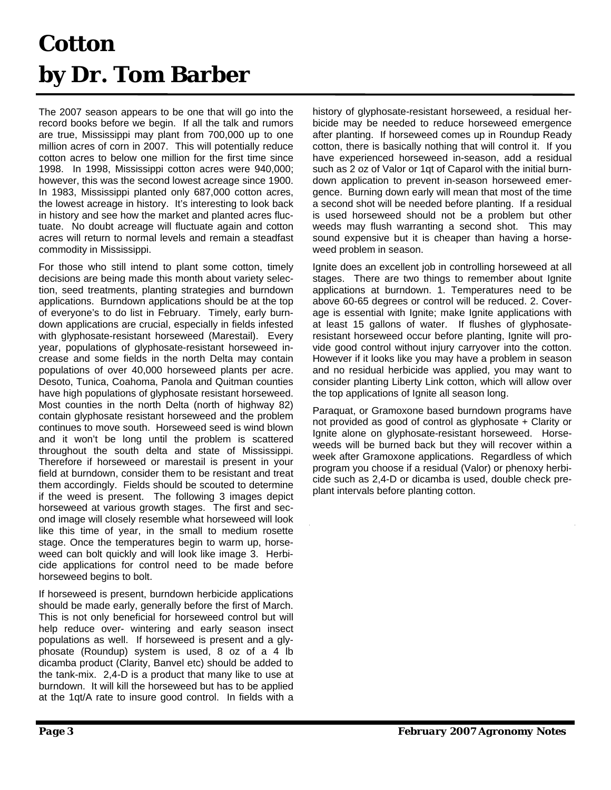#### **Cotton by Dr. Tom Barber**

The 2007 season appears to be one that will go into the record books before we begin. If all the talk and rumors are true, Mississippi may plant from 700,000 up to one million acres of corn in 2007. This will potentially reduce cotton acres to below one million for the first time since 1998. In 1998, Mississippi cotton acres were 940,000; however, this was the second lowest acreage since 1900. In 1983, Mississippi planted only 687,000 cotton acres, the lowest acreage in history. It's interesting to look back in history and see how the market and planted acres fluctuate. No doubt acreage will fluctuate again and cotton acres will return to normal levels and remain a steadfast commodity in Mississippi.

For those who still intend to plant some cotton, timely decisions are being made this month about variety selection, seed treatments, planting strategies and burndown applications. Burndown applications should be at the top of everyone's to do list in February. Timely, early burndown applications are crucial, especially in fields infested with glyphosate-resistant horseweed (Marestail). Every year, populations of glyphosate-resistant horseweed increase and some fields in the north Delta may contain populations of over 40,000 horseweed plants per acre. Desoto, Tunica, Coahoma, Panola and Quitman counties have high populations of glyphosate resistant horseweed. Most counties in the north Delta (north of highway 82) contain glyphosate resistant horseweed and the problem continues to move south. Horseweed seed is wind blown and it won't be long until the problem is scattered throughout the south delta and state of Mississippi. Therefore if horseweed or marestail is present in your field at burndown, consider them to be resistant and treat them accordingly. Fields should be scouted to determine if the weed is present. The following 3 images depict horseweed at various growth stages. The first and second image will closely resemble what horseweed will look like this time of year, in the small to medium rosette stage. Once the temperatures begin to warm up, horseweed can bolt quickly and will look like image 3. Herbicide applications for control need to be made before horseweed begins to bolt.

If horseweed is present, burndown herbicide applications should be made early, generally before the first of March. This is not only beneficial for horseweed control but will help reduce over- wintering and early season insect populations as well. If horseweed is present and a glyphosate (Roundup) system is used, 8 oz of a 4 lb dicamba product (Clarity, Banvel etc) should be added to the tank-mix. 2,4-D is a product that many like to use at burndown. It will kill the horseweed but has to be applied at the 1qt/A rate to insure good control. In fields with a

history of glyphosate-resistant horseweed, a residual herbicide may be needed to reduce horseweed emergence after planting. If horseweed comes up in Roundup Ready cotton, there is basically nothing that will control it. If you have experienced horseweed in-season, add a residual such as 2 oz of Valor or 1qt of Caparol with the initial burndown application to prevent in-season horseweed emergence. Burning down early will mean that most of the time a second shot will be needed before planting. If a residual is used horseweed should not be a problem but other weeds may flush warranting a second shot. This may sound expensive but it is cheaper than having a horseweed problem in season.

Ignite does an excellent job in controlling horseweed at all stages. There are two things to remember about Ignite applications at burndown. 1. Temperatures need to be above 60-65 degrees or control will be reduced. 2. Coverage is essential with Ignite; make Ignite applications with at least 15 gallons of water. If flushes of glyphosateresistant horseweed occur before planting, Ignite will provide good control without injury carryover into the cotton. However if it looks like you may have a problem in season and no residual herbicide was applied, you may want to consider planting Liberty Link cotton, which will allow over the top applications of Ignite all season long.

Paraquat, or Gramoxone based burndown programs have not provided as good of control as glyphosate + Clarity or Ignite alone on glyphosate-resistant horseweed. Horseweeds will be burned back but they will recover within a week after Gramoxone applications. Regardless of which program you choose if a residual (Valor) or phenoxy herbicide such as 2,4-D or dicamba is used, double check preplant intervals before planting cotton.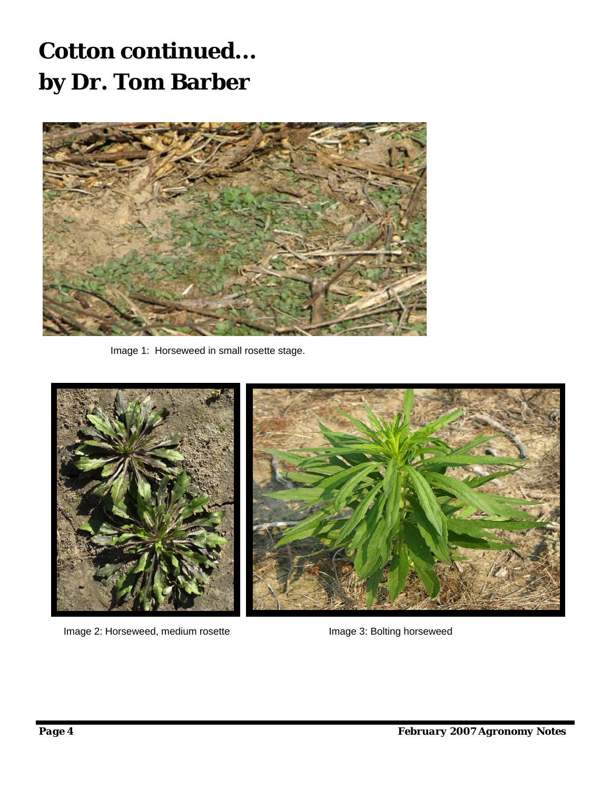#### **Cotton continued... by Dr. Tom Barber**



Image 1: Horseweed in small rosette stage.



Image 2: Horseweed, medium rosette Image 3: Bolting horseweed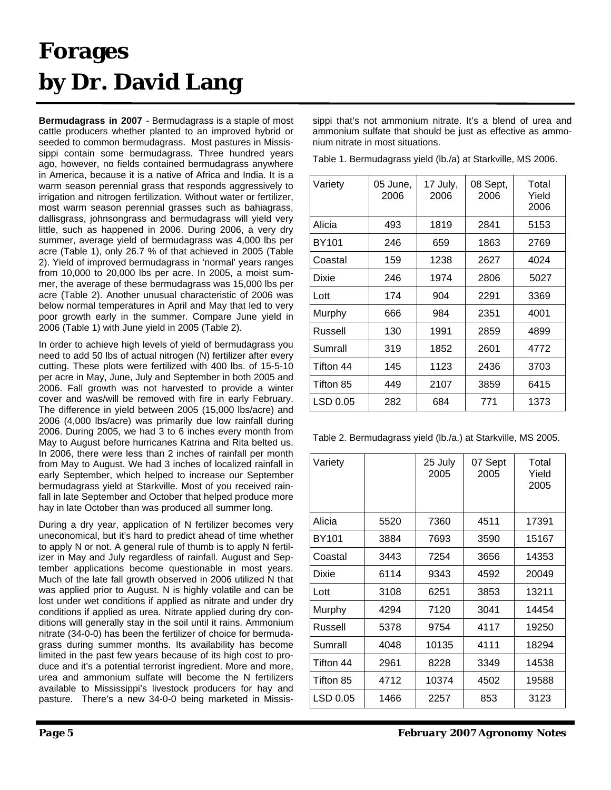## **Forages by Dr. David Lang**

**Bermudagrass in 2007** - Bermudagrass is a staple of most cattle producers whether planted to an improved hybrid or seeded to common bermudagrass. Most pastures in Mississippi contain some bermudagrass. Three hundred years ago, however, no fields contained bermudagrass anywhere in America, because it is a native of Africa and India. It is a warm season perennial grass that responds aggressively to irrigation and nitrogen fertilization. Without water or fertilizer, most warm season perennial grasses such as bahiagrass, dallisgrass, johnsongrass and bermudagrass will yield very little, such as happened in 2006. During 2006, a very dry summer, average yield of bermudagrass was 4,000 lbs per acre (Table 1), only 26.7 % of that achieved in 2005 (Table 2). Yield of improved bermudagrass in 'normal' years ranges from 10,000 to 20,000 lbs per acre. In 2005, a moist summer, the average of these bermudagrass was 15,000 lbs per acre (Table 2). Another unusual characteristic of 2006 was below normal temperatures in April and May that led to very poor growth early in the summer. Compare June yield in 2006 (Table 1) with June yield in 2005 (Table 2).

In order to achieve high levels of yield of bermudagrass you need to add 50 lbs of actual nitrogen (N) fertilizer after every cutting. These plots were fertilized with 400 lbs. of 15-5-10 per acre in May, June, July and September in both 2005 and 2006. Fall growth was not harvested to provide a winter cover and was/will be removed with fire in early February. The difference in yield between 2005 (15,000 lbs/acre) and 2006 (4,000 lbs/acre) was primarily due low rainfall during 2006. During 2005, we had 3 to 6 inches every month from May to August before hurricanes Katrina and Rita belted us. In 2006, there were less than 2 inches of rainfall per month from May to August. We had 3 inches of localized rainfall in early September, which helped to increase our September bermudagrass yield at Starkville. Most of you received rainfall in late September and October that helped produce more hay in late October than was produced all summer long.

During a dry year, application of N fertilizer becomes very uneconomical, but it's hard to predict ahead of time whether to apply N or not. A general rule of thumb is to apply N fertilizer in May and July regardless of rainfall. August and September applications become questionable in most years. Much of the late fall growth observed in 2006 utilized N that was applied prior to August. N is highly volatile and can be lost under wet conditions if applied as nitrate and under dry conditions if applied as urea. Nitrate applied during dry conditions will generally stay in the soil until it rains. Ammonium nitrate (34-0-0) has been the fertilizer of choice for bermudagrass during summer months. Its availability has become limited in the past few years because of its high cost to produce and it's a potential terrorist ingredient. More and more, urea and ammonium sulfate will become the N fertilizers available to Mississippi's livestock producers for hay and pasture. There's a new 34-0-0 being marketed in Mississippi that's not ammonium nitrate. It's a blend of urea and ammonium sulfate that should be just as effective as ammonium nitrate in most situations.

Table 1. Bermudagrass yield (lb./a) at Starkville, MS 2006.

| Variety           | 05 June,<br>2006 | 17 July,<br>2006 | 08 Sept,<br>2006 | Total<br>Yield<br>2006 |
|-------------------|------------------|------------------|------------------|------------------------|
| Alicia            | 493              | 1819             | 2841             | 5153                   |
| BY <sub>101</sub> | 246              | 659              | 1863             | 2769                   |
| Coastal           | 159              | 1238             | 2627             | 4024                   |
| Dixie             | 246              | 1974             | 2806             | 5027                   |
| Lott              | 174              | 904              | 2291             | 3369                   |
| Murphy            | 666              | 984              | 2351             | 4001                   |
| Russell           | 130              | 1991             | 2859             | 4899                   |
| Sumrall           | 319              | 1852             | 2601             | 4772                   |
| Tifton 44         | 145              | 1123             | 2436             | 3703                   |
| Tifton 85         | 449              | 2107             | 3859             | 6415                   |
| LSD 0.05          | 282              | 684              | 771              | 1373                   |

Table 2. Bermudagrass yield (lb./a.) at Starkville, MS 2005.

| Variety      |      | 25 July<br>2005 | 07 Sept<br>2005 | Total<br>Yield<br>2005 |
|--------------|------|-----------------|-----------------|------------------------|
| Alicia       | 5520 | 7360            | 4511            | 17391                  |
| <b>BY101</b> | 3884 | 7693            | 3590            | 15167                  |
| Coastal      | 3443 | 7254            | 3656            | 14353                  |
| Dixie        | 6114 | 9343            | 4592            | 20049                  |
| Lott         | 3108 | 6251            | 3853            | 13211                  |
| Murphy       | 4294 | 7120            | 3041            | 14454                  |
| Russell      | 5378 | 9754            | 4117            | 19250                  |
| Sumrall      | 4048 | 10135           | 4111            | 18294                  |
| Tifton 44    | 2961 | 8228            | 3349            | 14538                  |
| Tifton 85    | 4712 | 10374           | 4502            | 19588                  |
| LSD 0.05     | 1466 | 2257            | 853             | 3123                   |